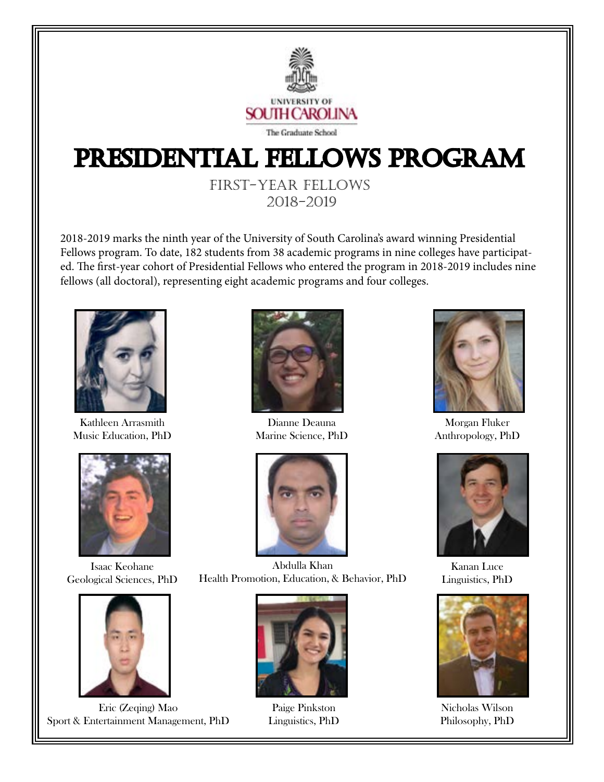

## Presidential Fellows Program

First-Year Fellows 2018-2019

2018-2019 marks the ninth year of the University of South Carolina's award winning Presidential Fellows program. To date, 182 students from 38 academic programs in nine colleges have participated. The first-year cohort of Presidential Fellows who entered the program in 2018-2019 includes nine fellows (all doctoral), representing eight academic programs and four colleges.



Kathleen Arrasmith Music Education, PhD



Isaac Keohane Geological Sciences, PhD



Eric (Zeqing) Mao Sport & Entertainment Management, PhD



Dianne Deauna Marine Science, PhD



Abdulla Khan Health Promotion, Education, & Behavior, PhD



Paige Pinkston Linguistics, PhD



Morgan Fluker Anthropology, PhD



Kanan Luce Linguistics, PhD



Nicholas Wilson Philosophy, PhD